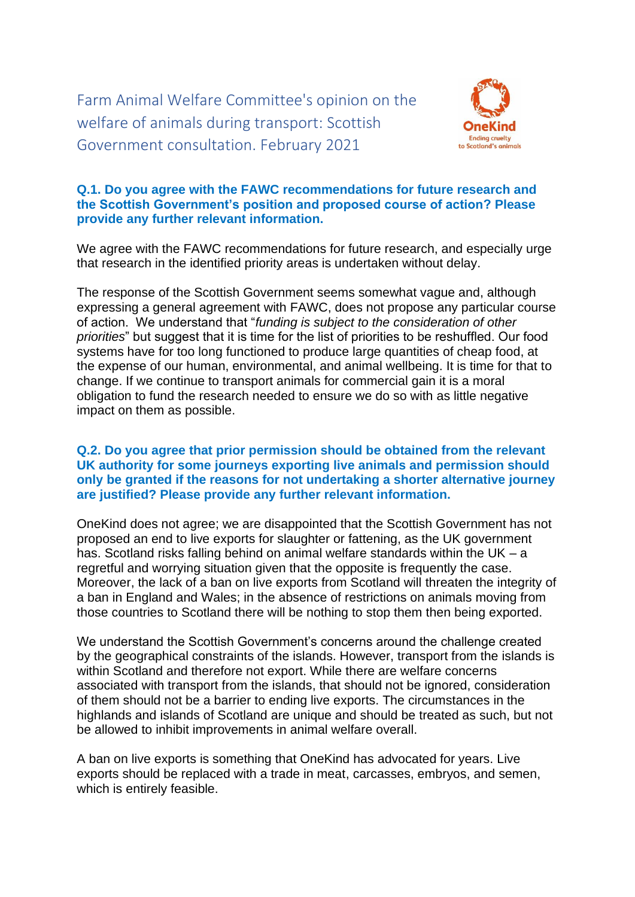Farm Animal Welfare Committee's opinion on the welfare of animals during transport: Scottish Government consultation. February 2021



## **Q.1. Do you agree with the FAWC recommendations for future research and the Scottish Government's position and proposed course of action? Please provide any further relevant information.**

We agree with the FAWC recommendations for future research, and especially urge that research in the identified priority areas is undertaken without delay.

The response of the Scottish Government seems somewhat vague and, although expressing a general agreement with FAWC, does not propose any particular course of action. We understand that "*funding is subject to the consideration of other priorities*" but suggest that it is time for the list of priorities to be reshuffled. Our food systems have for too long functioned to produce large quantities of cheap food, at the expense of our human, environmental, and animal wellbeing. It is time for that to change. If we continue to transport animals for commercial gain it is a moral obligation to fund the research needed to ensure we do so with as little negative impact on them as possible.

## **Q.2. Do you agree that prior permission should be obtained from the relevant UK authority for some journeys exporting live animals and permission should only be granted if the reasons for not undertaking a shorter alternative journey are justified? Please provide any further relevant information.**

OneKind does not agree; we are disappointed that the Scottish Government has not proposed an end to live exports for slaughter or fattening, as the UK government has. Scotland risks falling behind on animal welfare standards within the UK – a regretful and worrying situation given that the opposite is frequently the case. Moreover, the lack of a ban on live exports from Scotland will threaten the integrity of a ban in England and Wales; in the absence of restrictions on animals moving from those countries to Scotland there will be nothing to stop them then being exported.

We understand the Scottish Government's concerns around the challenge created by the geographical constraints of the islands. However, transport from the islands is within Scotland and therefore not export. While there are welfare concerns associated with transport from the islands, that should not be ignored, consideration of them should not be a barrier to ending live exports. The circumstances in the highlands and islands of Scotland are unique and should be treated as such, but not be allowed to inhibit improvements in animal welfare overall.

A ban on live exports is something that OneKind has advocated for years. Live exports should be replaced with a trade in meat, carcasses, embryos, and semen, which is entirely feasible.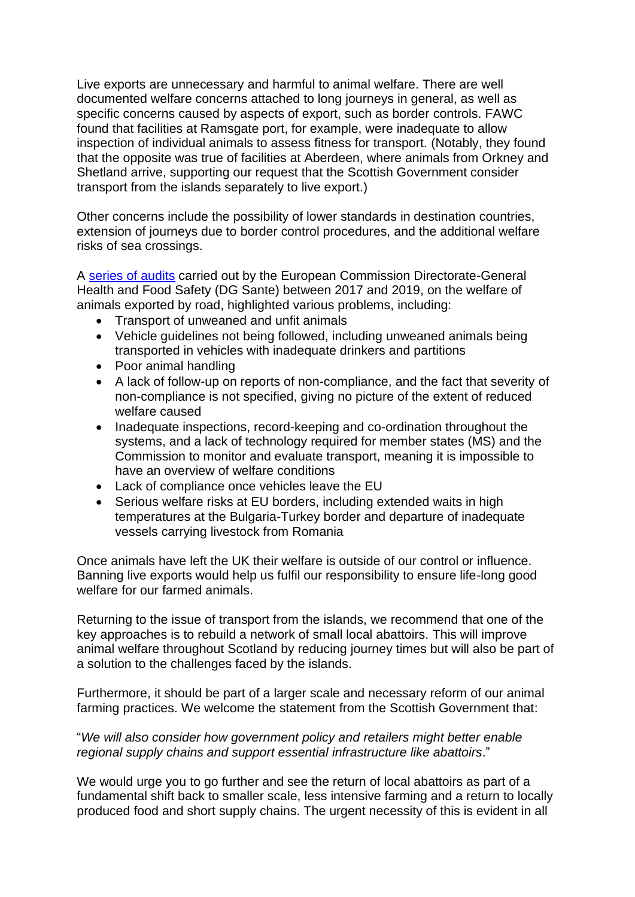Live exports are unnecessary and harmful to animal welfare. There are well documented welfare concerns attached to long journeys in general, as well as specific concerns caused by aspects of export, such as border controls. FAWC found that facilities at Ramsgate port, for example, were inadequate to allow inspection of individual animals to assess fitness for transport. (Notably, they found that the opposite was true of facilities at Aberdeen, where animals from Orkney and Shetland arrive, supporting our request that the Scottish Government consider transport from the islands separately to live export.)

Other concerns include the possibility of lower standards in destination countries, extension of journeys due to border control procedures, and the additional welfare risks of sea crossings.

A [series of](https://www.animal-welfare-foundation.org/files/downloads/Download_Presseberichte/DG_SANTE_OVERVIEW_REPORT_-_Welfare_of_animals_exported_by_road.pdf) audits carried out by the European Commission Directorate-General Health and Food Safety (DG Sante) between 2017 and 2019, on the welfare of animals exported by road, highlighted various problems, including:

- Transport of unweaned and unfit animals
- Vehicle guidelines not being followed, including unweaned animals being transported in vehicles with inadequate drinkers and partitions
- Poor animal handling
- A lack of follow-up on reports of non-compliance, and the fact that severity of non-compliance is not specified, giving no picture of the extent of reduced welfare caused
- Inadequate inspections, record-keeping and co-ordination throughout the systems, and a lack of technology required for member states (MS) and the Commission to monitor and evaluate transport, meaning it is impossible to have an overview of welfare conditions
- Lack of compliance once vehicles leave the EU
- Serious welfare risks at EU borders, including extended waits in high temperatures at the Bulgaria-Turkey border and departure of inadequate vessels carrying livestock from Romania

Once animals have left the UK their welfare is outside of our control or influence. Banning live exports would help us fulfil our responsibility to ensure life-long good welfare for our farmed animals.

Returning to the issue of transport from the islands, we recommend that one of the key approaches is to rebuild a network of small local abattoirs. This will improve animal welfare throughout Scotland by reducing journey times but will also be part of a solution to the challenges faced by the islands.

Furthermore, it should be part of a larger scale and necessary reform of our animal farming practices. We welcome the statement from the Scottish Government that:

## "*We will also consider how government policy and retailers might better enable regional supply chains and support essential infrastructure like abattoirs*."

We would urge you to go further and see the return of local abattoirs as part of a fundamental shift back to smaller scale, less intensive farming and a return to locally produced food and short supply chains. The urgent necessity of this is evident in all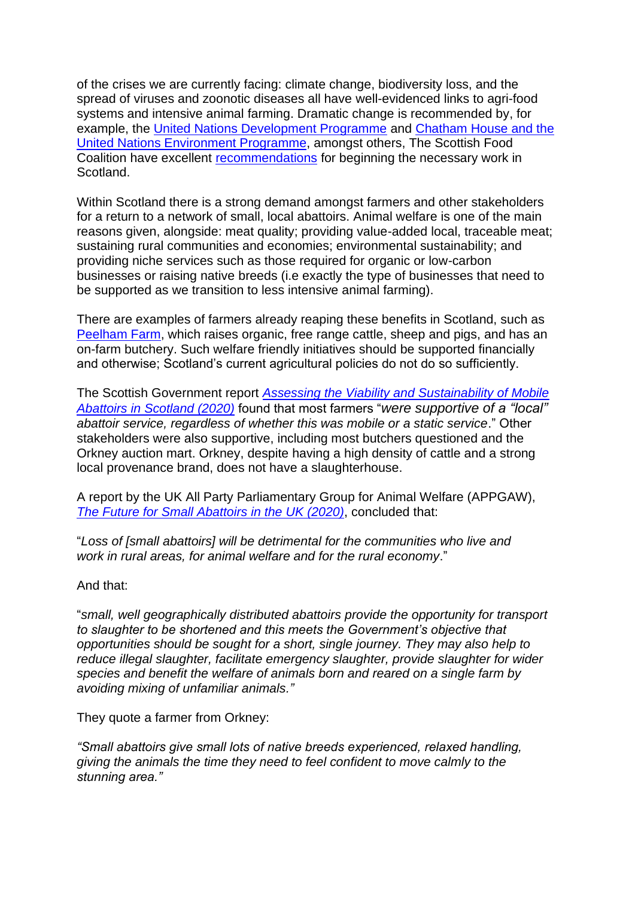of the crises we are currently facing: climate change, biodiversity loss, and the spread of viruses and zoonotic diseases all have well-evidenced links to agri-food systems and intensive animal farming. Dramatic change is recommended by, for example, the [United Nations Development Programme](http://hdr.undp.org/sites/default/files/hdr2020.pdf) and [Chatham House](https://www.chathamhouse.org/sites/default/files/2021-02/2021-02-03-food-system-biodiversity-loss-benton-et-al_0.pdf) and the [United Nations Environment Programme,](https://www.chathamhouse.org/sites/default/files/2021-02/2021-02-03-food-system-biodiversity-loss-benton-et-al_0.pdf) amongst others, The Scottish Food Coalition have excellent [recommendations](http://www.foodcoalition.scot/uploads/6/2/6/8/62689573/sfc_manifesto_asks_2020.pdf) for beginning the necessary work in Scotland.

Within Scotland there is a strong demand amongst farmers and other stakeholders for a return to a network of small, local abattoirs. Animal welfare is one of the main reasons given, alongside: meat quality; providing value-added local, traceable meat; sustaining rural communities and economies; environmental sustainability; and providing niche services such as those required for organic or low-carbon businesses or raising native breeds (i.e exactly the type of businesses that need to be supported as we transition to less intensive animal farming).

There are examples of farmers already reaping these benefits in Scotland, such as [Peelham Farm,](https://www.peelham.co.uk/) which raises organic, free range cattle, sheep and pigs, and has an on-farm butchery. Such welfare friendly initiatives should be supported financially and otherwise; Scotland's current agricultural policies do not do so sufficiently.

The Scottish Government report *[Assessing the Viability and Sustainability of Mobile](https://www.gov.scot/publications/assessing-viability-sustainability-mobile-abattoirs-scotland/)  [Abattoirs in Scotland \(2020\)](https://www.gov.scot/publications/assessing-viability-sustainability-mobile-abattoirs-scotland/)* found that most farmers "*were supportive of a "local" abattoir service, regardless of whether this was mobile or a static service*." Other stakeholders were also supportive, including most butchers questioned and the Orkney auction mart. Orkney, despite having a high density of cattle and a strong local provenance brand, does not have a slaughterhouse.

A report by the UK All Party Parliamentary Group for Animal Welfare (APPGAW), *[The Future for Small Abattoirs in the UK \(2020\)](https://www.apgaw.org/wp-content/uploads/2020/06/The-Future-for-Small-Abattoirs-in-the-UK.pdf)*, concluded that:

"*Loss of [small abattoirs] will be detrimental for the communities who live and work in rural areas, for animal welfare and for the rural economy*."

And that:

"*small, well geographically distributed abattoirs provide the opportunity for transport to slaughter to be shortened and this meets the Government's objective that opportunities should be sought for a short, single journey. They may also help to reduce illegal slaughter, facilitate emergency slaughter, provide slaughter for wider species and benefit the welfare of animals born and reared on a single farm by avoiding mixing of unfamiliar animals."*

They quote a farmer from Orkney:

*"Small abattoirs give small lots of native breeds experienced, relaxed handling, giving the animals the time they need to feel confident to move calmly to the stunning area."*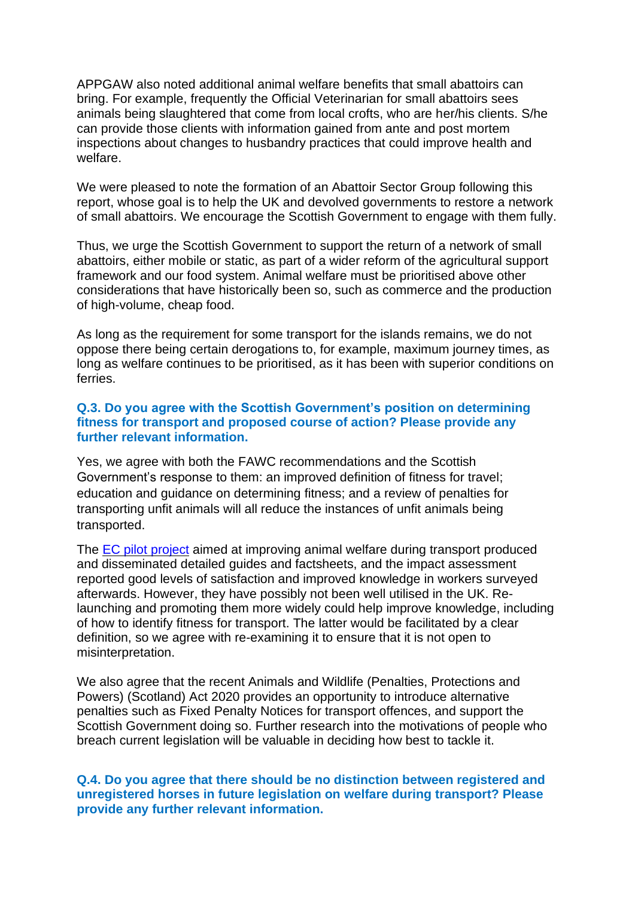APPGAW also noted additional animal welfare benefits that small abattoirs can bring. For example, frequently the Official Veterinarian for small abattoirs sees animals being slaughtered that come from local crofts, who are her/his clients. S/he can provide those clients with information gained from ante and post mortem inspections about changes to husbandry practices that could improve health and welfare.

We were pleased to note the formation of an Abattoir Sector Group following this report, whose goal is to help the UK and devolved governments to restore a network of small abattoirs. We encourage the Scottish Government to engage with them fully.

Thus, we urge the Scottish Government to support the return of a network of small abattoirs, either mobile or static, as part of a wider reform of the agricultural support framework and our food system. Animal welfare must be prioritised above other considerations that have historically been so, such as commerce and the production of high-volume, cheap food.

As long as the requirement for some transport for the islands remains, we do not oppose there being certain derogations to, for example, maximum journey times, as long as welfare continues to be prioritised, as it has been with superior conditions on ferries.

## **Q.3. Do you agree with the Scottish Government's position on determining fitness for transport and proposed course of action? Please provide any further relevant information.**

Yes, we agree with both the FAWC recommendations and the Scottish Government's response to them: an improved definition of fitness for travel; education and guidance on determining fitness; and a review of penalties for transporting unfit animals will all reduce the instances of unfit animals being transported.

The EC pilot [project](https://ec.europa.eu/food/sites/food/files/animals/docs/aw_prac_transport_pilot-report.pdf) aimed at improving animal welfare during transport produced and disseminated detailed guides and factsheets, and the impact assessment reported good levels of satisfaction and improved knowledge in workers surveyed afterwards. However, they have possibly not been well utilised in the UK. Relaunching and promoting them more widely could help improve knowledge, including of how to identify fitness for transport. The latter would be facilitated by a clear definition, so we agree with re-examining it to ensure that it is not open to misinterpretation.

We also agree that the recent Animals and Wildlife (Penalties, Protections and Powers) (Scotland) Act 2020 provides an opportunity to introduce alternative penalties such as Fixed Penalty Notices for transport offences, and support the Scottish Government doing so. Further research into the motivations of people who breach current legislation will be valuable in deciding how best to tackle it.

## **Q.4. Do you agree that there should be no distinction between registered and unregistered horses in future legislation on welfare during transport? Please provide any further relevant information.**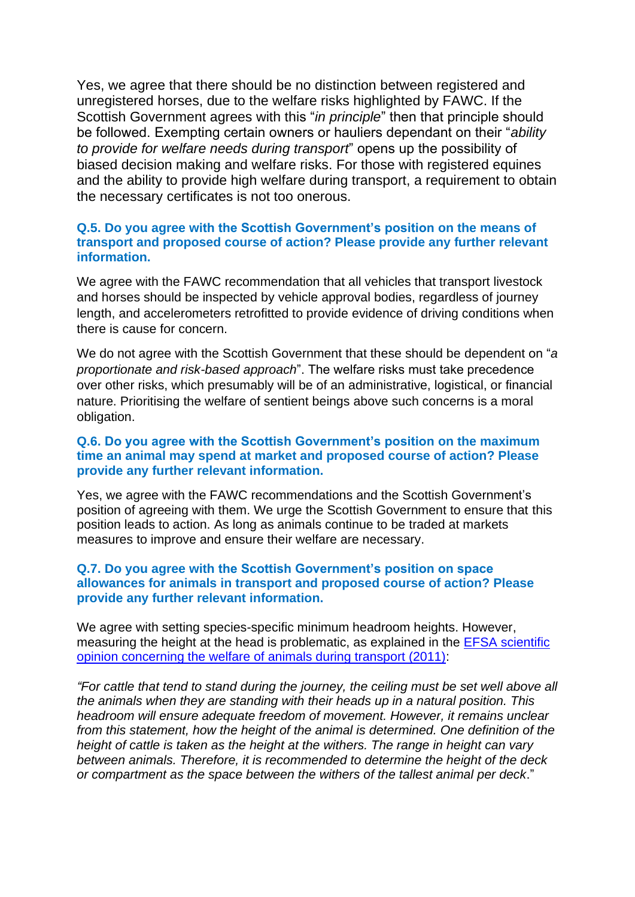Yes, we agree that there should be no distinction between registered and unregistered horses, due to the welfare risks highlighted by FAWC. If the Scottish Government agrees with this "*in principle*" then that principle should be followed. Exempting certain owners or hauliers dependant on their "*ability to provide for welfare needs during transport*" opens up the possibility of biased decision making and welfare risks. For those with registered equines and the ability to provide high welfare during transport, a requirement to obtain the necessary certificates is not too onerous.

## **Q.5. Do you agree with the Scottish Government's position on the means of transport and proposed course of action? Please provide any further relevant information.**

We agree with the FAWC recommendation that all vehicles that transport livestock and horses should be inspected by vehicle approval bodies, regardless of journey length, and accelerometers retrofitted to provide evidence of driving conditions when there is cause for concern.

We do not agree with the Scottish Government that these should be dependent on "*a proportionate and risk-based approach*". The welfare risks must take precedence over other risks, which presumably will be of an administrative, logistical, or financial nature. Prioritising the welfare of sentient beings above such concerns is a moral obligation.

# **Q.6. Do you agree with the Scottish Government's position on the maximum time an animal may spend at market and proposed course of action? Please provide any further relevant information.**

Yes, we agree with the FAWC recommendations and the Scottish Government's position of agreeing with them. We urge the Scottish Government to ensure that this position leads to action. As long as animals continue to be traded at markets measures to improve and ensure their welfare are necessary.

## **Q.7. Do you agree with the Scottish Government's position on space allowances for animals in transport and proposed course of action? Please provide any further relevant information.**

We agree with setting species-specific minimum headroom heights. However, measuring the height at the head is problematic, as explained in the [EFSA scientific](https://efsa.onlinelibrary.wiley.com/doi/10.2903/j.efsa.2011.1966)  [opinion concerning the welfare of animals during transport \(2011\):](https://efsa.onlinelibrary.wiley.com/doi/10.2903/j.efsa.2011.1966)

*"For cattle that tend to stand during the journey, the ceiling must be set well above all the animals when they are standing with their heads up in a natural position. This headroom will ensure adequate freedom of movement. However, it remains unclear from this statement, how the height of the animal is determined. One definition of the height of cattle is taken as the height at the withers. The range in height can vary between animals. Therefore, it is recommended to determine the height of the deck or compartment as the space between the withers of the tallest animal per deck*."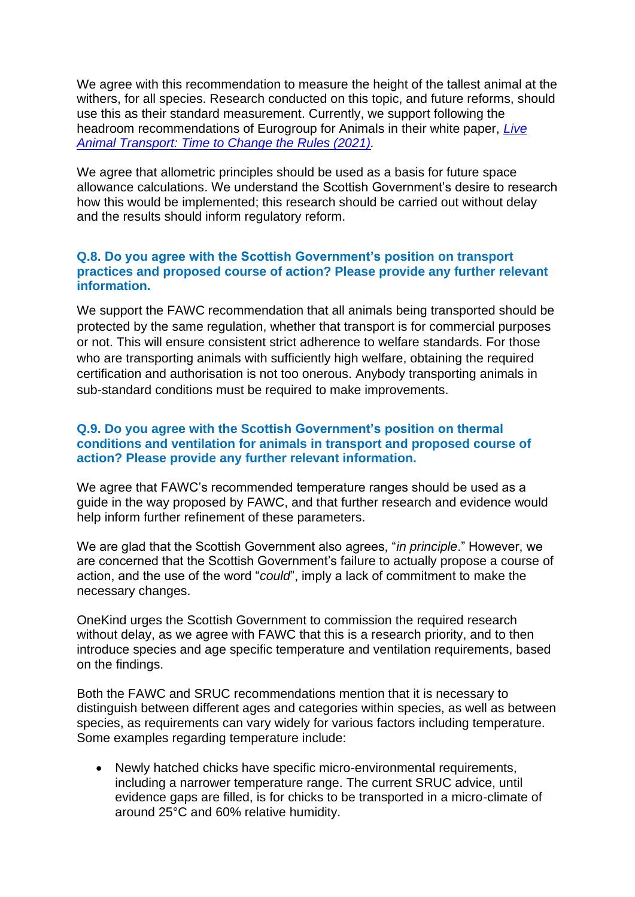We agree with this recommendation to measure the height of the tallest animal at the withers, for all species. Research conducted on this topic, and future reforms, should use this as their standard measurement. Currently, we support following the headroom recommendations of Eurogroup for Animals in their white paper, *[Live](https://www.eurogroupforanimals.org/sites/eurogroup/files/2021-01/2020_01_27_efa_transport_white_paper_0.pdf)  [Animal Transport: Time to Change the Rules \(2021\).](https://www.eurogroupforanimals.org/sites/eurogroup/files/2021-01/2020_01_27_efa_transport_white_paper_0.pdf)*

We agree that allometric principles should be used as a basis for future space allowance calculations. We understand the Scottish Government's desire to research how this would be implemented; this research should be carried out without delay and the results should inform regulatory reform.

# **Q.8. Do you agree with the Scottish Government's position on transport practices and proposed course of action? Please provide any further relevant information.**

We support the FAWC recommendation that all animals being transported should be protected by the same regulation, whether that transport is for commercial purposes or not. This will ensure consistent strict adherence to welfare standards. For those who are transporting animals with sufficiently high welfare, obtaining the required certification and authorisation is not too onerous. Anybody transporting animals in sub-standard conditions must be required to make improvements.

## **Q.9. Do you agree with the Scottish Government's position on thermal conditions and ventilation for animals in transport and proposed course of action? Please provide any further relevant information.**

We agree that FAWC's recommended temperature ranges should be used as a guide in the way proposed by FAWC, and that further research and evidence would help inform further refinement of these parameters.

We are glad that the Scottish Government also agrees, "*in principle*." However, we are concerned that the Scottish Government's failure to actually propose a course of action, and the use of the word "*could*", imply a lack of commitment to make the necessary changes.

OneKind urges the Scottish Government to commission the required research without delay, as we agree with FAWC that this is a research priority, and to then introduce species and age specific temperature and ventilation requirements, based on the findings.

Both the FAWC and SRUC recommendations mention that it is necessary to distinguish between different ages and categories within species, as well as between species, as requirements can vary widely for various factors including temperature. Some examples regarding temperature include:

• Newly hatched chicks have specific micro-environmental requirements, including a narrower temperature range. The current SRUC advice, until evidence gaps are filled, is for chicks to be transported in a micro-climate of around 25°C and 60% relative humidity.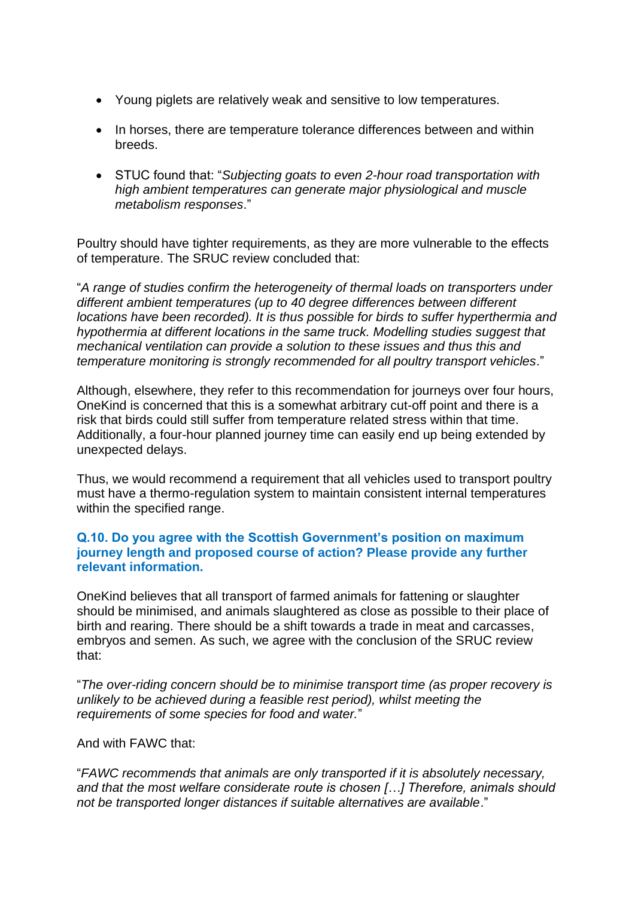- Young piglets are relatively weak and sensitive to low temperatures.
- In horses, there are temperature tolerance differences between and within breeds.
- STUC found that: "*Subjecting goats to even 2-hour road transportation with high ambient temperatures can generate major physiological and muscle metabolism responses*."

Poultry should have tighter requirements, as they are more vulnerable to the effects of temperature. The SRUC review concluded that:

"*A range of studies confirm the heterogeneity of thermal loads on transporters under different ambient temperatures (up to 40 degree differences between different locations have been recorded). It is thus possible for birds to suffer hyperthermia and hypothermia at different locations in the same truck. Modelling studies suggest that mechanical ventilation can provide a solution to these issues and thus this and temperature monitoring is strongly recommended for all poultry transport vehicles*."

Although, elsewhere, they refer to this recommendation for journeys over four hours, OneKind is concerned that this is a somewhat arbitrary cut-off point and there is a risk that birds could still suffer from temperature related stress within that time. Additionally, a four-hour planned journey time can easily end up being extended by unexpected delays.

Thus, we would recommend a requirement that all vehicles used to transport poultry must have a thermo-regulation system to maintain consistent internal temperatures within the specified range.

# **Q.10. Do you agree with the Scottish Government's position on maximum journey length and proposed course of action? Please provide any further relevant information.**

OneKind believes that all transport of farmed animals for fattening or slaughter should be minimised, and animals slaughtered as close as possible to their place of birth and rearing. There should be a shift towards a trade in meat and carcasses, embryos and semen. As such, we agree with the conclusion of the SRUC review that:

"*The over-riding concern should be to minimise transport time (as proper recovery is unlikely to be achieved during a feasible rest period), whilst meeting the requirements of some species for food and water.*"

## And with FAWC that:

"*FAWC recommends that animals are only transported if it is absolutely necessary, and that the most welfare considerate route is chosen […] Therefore, animals should not be transported longer distances if suitable alternatives are available*."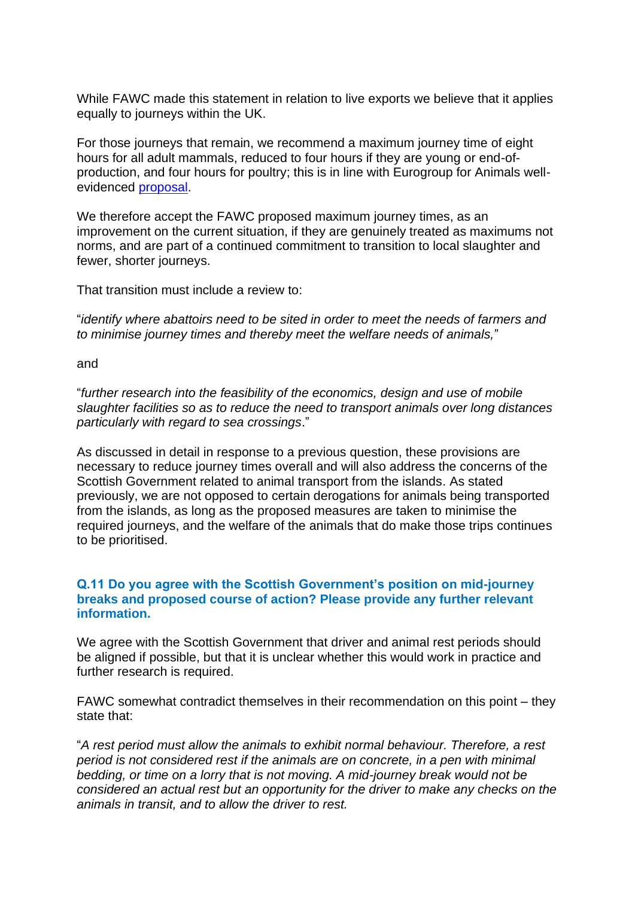While FAWC made this statement in relation to live exports we believe that it applies equally to journeys within the UK.

For those journeys that remain, we recommend a maximum journey time of eight hours for all adult mammals, reduced to four hours if they are young or end-ofproduction, and four hours for poultry; this is in line with Eurogroup for Animals wellevidenced [proposal.](https://www.eurogroupforanimals.org/sites/eurogroup/files/2021-01/2020_01_27_efa_transport_white_paper_0.pdf)

We therefore accept the FAWC proposed maximum journey times, as an improvement on the current situation, if they are genuinely treated as maximums not norms, and are part of a continued commitment to transition to local slaughter and fewer, shorter journeys.

That transition must include a review to:

"*identify where abattoirs need to be sited in order to meet the needs of farmers and to minimise journey times and thereby meet the welfare needs of animals,*"

#### and

"*further research into the feasibility of the economics, design and use of mobile slaughter facilities so as to reduce the need to transport animals over long distances particularly with regard to sea crossings*."

As discussed in detail in response to a previous question, these provisions are necessary to reduce journey times overall and will also address the concerns of the Scottish Government related to animal transport from the islands. As stated previously, we are not opposed to certain derogations for animals being transported from the islands, as long as the proposed measures are taken to minimise the required journeys, and the welfare of the animals that do make those trips continues to be prioritised.

# **Q.11 Do you agree with the Scottish Government's position on mid-journey breaks and proposed course of action? Please provide any further relevant information.**

We agree with the Scottish Government that driver and animal rest periods should be aligned if possible, but that it is unclear whether this would work in practice and further research is required.

FAWC somewhat contradict themselves in their recommendation on this point – they state that:

"*A rest period must allow the animals to exhibit normal behaviour. Therefore, a rest period is not considered rest if the animals are on concrete, in a pen with minimal bedding, or time on a lorry that is not moving. A mid-journey break would not be considered an actual rest but an opportunity for the driver to make any checks on the animals in transit, and to allow the driver to rest.*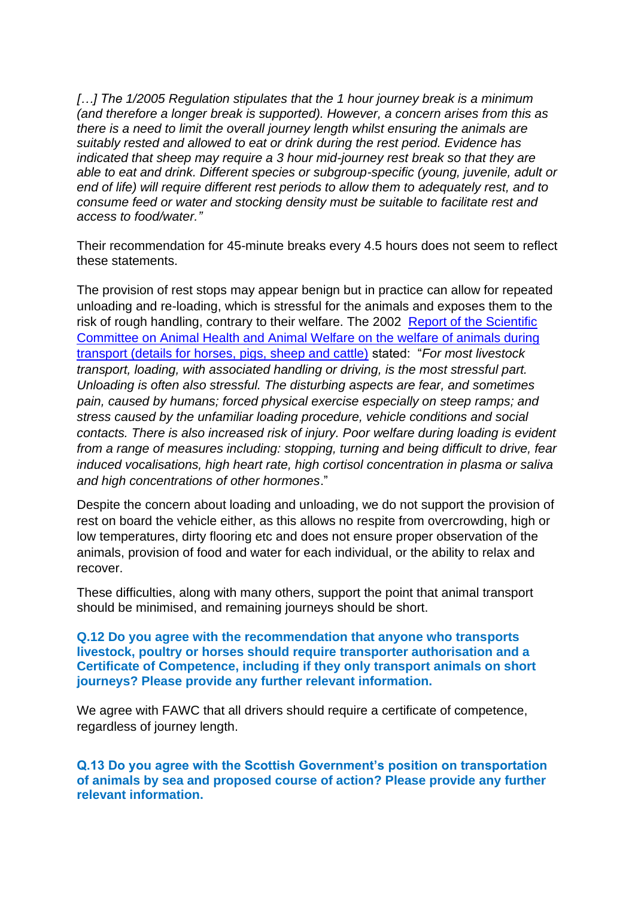*[…] The 1/2005 Regulation stipulates that the 1 hour journey break is a minimum (and therefore a longer break is supported). However, a concern arises from this as there is a need to limit the overall journey length whilst ensuring the animals are suitably rested and allowed to eat or drink during the rest period. Evidence has indicated that sheep may require a 3 hour mid-journey rest break so that they are able to eat and drink. Different species or subgroup-specific (young, juvenile, adult or end of life) will require different rest periods to allow them to adequately rest, and to consume feed or water and stocking density must be suitable to facilitate rest and access to food/water."*

Their recommendation for 45-minute breaks every 4.5 hours does not seem to reflect these statements.

The provision of rest stops may appear benign but in practice can allow for repeated unloading and re-loading, which is stressful for the animals and exposes them to the risk of rough handling, contrary to their welfare. The 2002 [Report of the Scientific](https://ec.europa.eu/food/sites/food/files/safety/docs/sci-com_scah_out71_en.pdf)  [Committee on Animal Health and Animal Welfare on the welfare of animals during](https://ec.europa.eu/food/sites/food/files/safety/docs/sci-com_scah_out71_en.pdf)  [transport \(details for horses, pigs, sheep and cattle\)](https://ec.europa.eu/food/sites/food/files/safety/docs/sci-com_scah_out71_en.pdf) stated: "*For most livestock transport, loading, with associated handling or driving, is the most stressful part. Unloading is often also stressful. The disturbing aspects are fear, and sometimes pain, caused by humans; forced physical exercise especially on steep ramps; and stress caused by the unfamiliar loading procedure, vehicle conditions and social contacts. There is also increased risk of injury. Poor welfare during loading is evident from a range of measures including: stopping, turning and being difficult to drive, fear induced vocalisations, high heart rate, high cortisol concentration in plasma or saliva and high concentrations of other hormones*."

Despite the concern about loading and unloading, we do not support the provision of rest on board the vehicle either, as this allows no respite from overcrowding, high or low temperatures, dirty flooring etc and does not ensure proper observation of the animals, provision of food and water for each individual, or the ability to relax and recover.

These difficulties, along with many others, support the point that animal transport should be minimised, and remaining journeys should be short.

**Q.12 Do you agree with the recommendation that anyone who transports livestock, poultry or horses should require transporter authorisation and a Certificate of Competence, including if they only transport animals on short journeys? Please provide any further relevant information.**

We agree with FAWC that all drivers should require a certificate of competence, regardless of journey length.

**Q.13 Do you agree with the Scottish Government's position on transportation of animals by sea and proposed course of action? Please provide any further relevant information.**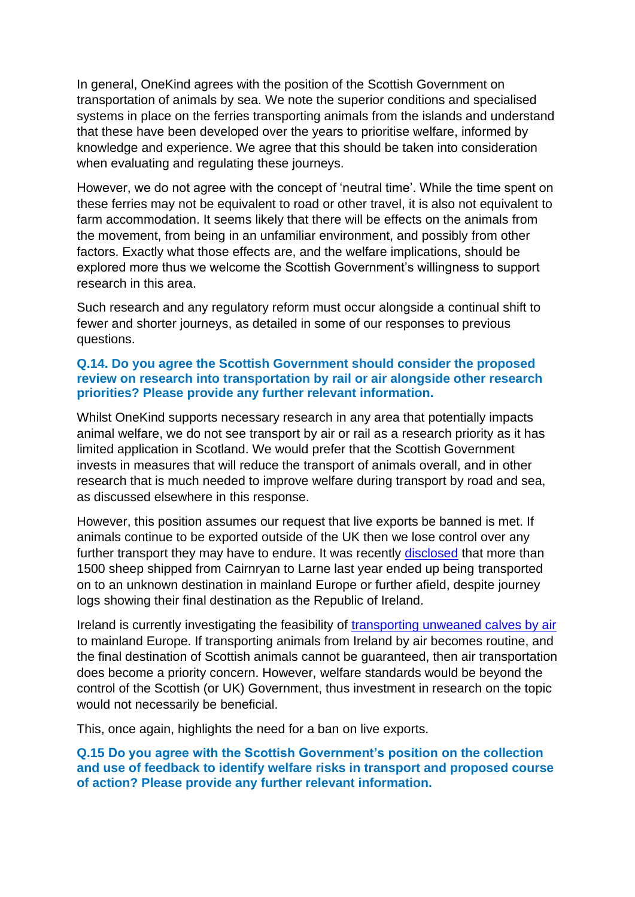In general, OneKind agrees with the position of the Scottish Government on transportation of animals by sea. We note the superior conditions and specialised systems in place on the ferries transporting animals from the islands and understand that these have been developed over the years to prioritise welfare, informed by knowledge and experience. We agree that this should be taken into consideration when evaluating and regulating these journeys.

However, we do not agree with the concept of 'neutral time'. While the time spent on these ferries may not be equivalent to road or other travel, it is also not equivalent to farm accommodation. It seems likely that there will be effects on the animals from the movement, from being in an unfamiliar environment, and possibly from other factors. Exactly what those effects are, and the welfare implications, should be explored more thus we welcome the Scottish Government's willingness to support research in this area.

Such research and any regulatory reform must occur alongside a continual shift to fewer and shorter journeys, as detailed in some of our responses to previous questions.

# **Q.14. Do you agree the Scottish Government should consider the proposed review on research into transportation by rail or air alongside other research priorities? Please provide any further relevant information.**

Whilst OneKind supports necessary research in any area that potentially impacts animal welfare, we do not see transport by air or rail as a research priority as it has limited application in Scotland. We would prefer that the Scottish Government invests in measures that will reduce the transport of animals overall, and in other research that is much needed to improve welfare during transport by road and sea, as discussed elsewhere in this response.

However, this position assumes our request that live exports be banned is met. If animals continue to be exported outside of the UK then we lose control over any further transport they may have to endure. It was recently [disclosed](https://www.thetimes.co.uk/article/cruelty-of-long-haul-for-sheep-transported-from-scotland-to-france-via-ireland-6hw65fjj0) that more than 1500 sheep shipped from Cairnryan to Larne last year ended up being transported on to an unknown destination in mainland Europe or further afield, despite journey logs showing their final destination as the Republic of Ireland.

Ireland is currently investigating the feasibility of [transporting unweaned calves by air](https://www.farmersjournal.ie/900-calves-to-fly-to-belgium-next-spring-589031) to mainland Europe. If transporting animals from Ireland by air becomes routine, and the final destination of Scottish animals cannot be guaranteed, then air transportation does become a priority concern. However, welfare standards would be beyond the control of the Scottish (or UK) Government, thus investment in research on the topic would not necessarily be beneficial.

This, once again, highlights the need for a ban on live exports.

**Q.15 Do you agree with the Scottish Government's position on the collection and use of feedback to identify welfare risks in transport and proposed course of action? Please provide any further relevant information.**